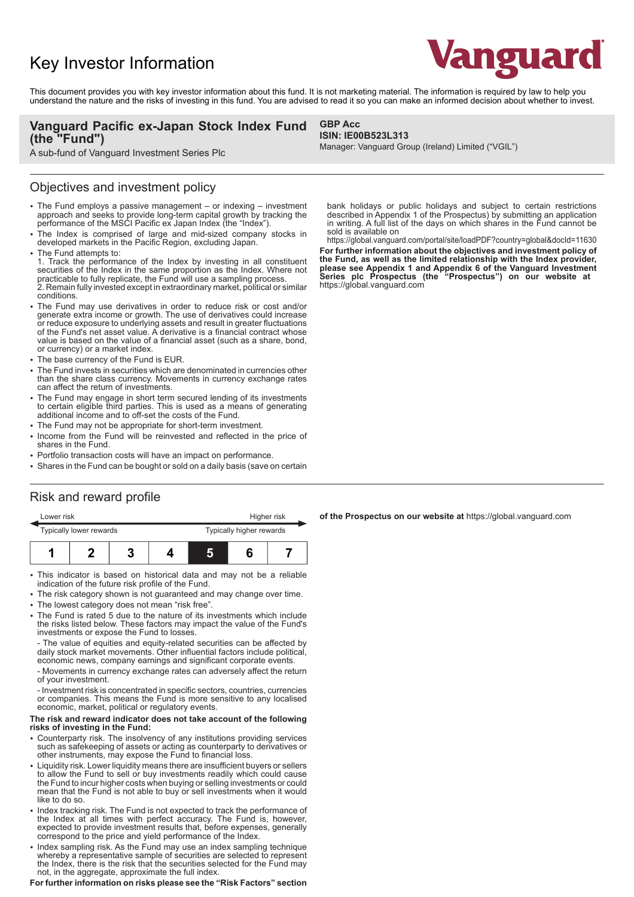# Key Investor Information



This document provides you with key investor information about this fund. It is not marketing material. The information is required by law to help you understand the nature and the risks of investing in this fund. You are advised to read it so you can make an informed decision about whether to invest.

#### **Vanguard Pacific ex-Japan Stock Index Fund (the "Fund")**

A sub-fund of Vanguard Investment Series Plc

### Objectives and investment policy

- The Fund employs a passive management or indexing investment approach and seeks to provide long-term capital growth by tracking the performance of the MSCI Pacific ex Japan Index (the "Index").
- The Index is comprised of large and mid-sized company stocks in developed markets in the Pacific Region, excluding Japan.
- The Fund attempts to:
- 1. Track the performance of the Index by investing in all constituent securities of the Index in the same proportion as the Index. Where not practicable to fully replicate, the Fund will use a sampling process. 2. Remain fully invested except in extraordinary market, political or similar conditions.
- The Fund may use derivatives in order to reduce risk or cost and/or generate extra income or growth. The use of derivatives could increase or reduce exposure to underlying assets and result in greater fluctuations of the Fund's net asset value. A derivative is a financial contract whose value is based on the value of a financial asset (such as a share, bond, or currency) or a market index.
- The base currency of the Fund is EUR.
- The Fund invests in securities which are denominated in currencies other than the share class currency. Movements in currency exchange rates can affect the return of investments.
- The Fund may engage in short term secured lending of its investments to certain eligible third parties. This is used as a means of generating additional income and to off-set the costs of the Fund.
- The Fund may not be appropriate for short-term investment.
- 2 Income from the Fund will be reinvested and reflected in the price of shares in the Fund.
- Portfolio transaction costs will have an impact on performance.
- Shares in the Fund can be bought or sold on a daily basis (save on certain

#### **GBP Acc ISIN: IE00B523L313**

Manager: Vanguard Group (Ireland) Limited ("VGIL")

bank holidays or public holidays and subject to certain restrictions described in Appendix 1 of the Prospectus) by submitting an application in writing. A full list of the days on which shares in the Fund cannot be sold is available on

https://global.vanguard.com/portal/site/loadPDF?country=global&docId=11630 **For further information about the objectives and investment policy of the Fund, as well as the limited relationship with the Index provider, please see Appendix 1 and Appendix 6 of the Vanguard Investment Series plc Prospectus (the "Prospectus") on our website at**  https://global.vanguard.com

**of the Prospectus on our website at** https://global.vanguard.com

# Risk and reward profile

| Lower risk              |  |  |  | Higher risk              |  |  |
|-------------------------|--|--|--|--------------------------|--|--|
| Typically lower rewards |  |  |  | Typically higher rewards |  |  |
|                         |  |  |  | L                        |  |  |

- This indicator is based on historical data and may not be a reliable indication of the future risk profile of the Fund.
- The risk category shown is not guaranteed and may change over time.
- The lowest category does not mean "risk free".
- 2 The Fund is rated 5 due to the nature of its investments which include the risks listed below. These factors may impact the value of the Fund's investments or expose the Fund to losses.

- The value of equities and equity-related securities can be affected by daily stock market movements. Other influential factors include political, economic news, company earnings and significant corporate events.

- Movements in currency exchange rates can adversely affect the return of your investment.

- Investment risk is concentrated in specific sectors, countries, currencies or companies. This means the Fund is more sensitive to any localised economic, market, political or regulatory events.

#### **The risk and reward indicator does not take account of the following risks of investing in the Fund:**

- 2 Counterparty risk. The insolvency of any institutions providing services such as safekeeping of assets or acting as counterparty to derivatives or other instruments, may expose the Fund to financial loss.
- Liquidity risk. Lower liquidity means there are insufficient buyers or sellers to allow the Fund to sell or buy investments readily which could cause the Fund to incur higher costs when buying or selling investments or could mean that the Fund is not able to buy or sell investments when it would like to do so.
- Index tracking risk. The Fund is not expected to track the performance of the Index at all times with perfect accuracy. The Fund is, however, expected to provide investment results that, before expenses, generally correspond to the price and yield performance of the Index.
- Index sampling risk. As the Fund may use an index sampling technique whereby a representative sample of securities are selected to represent the Index, there is the risk that the securities selected for the Fund may not, in the aggregate, approximate the full index.

**For further information on risks please see the "Risk Factors" section**